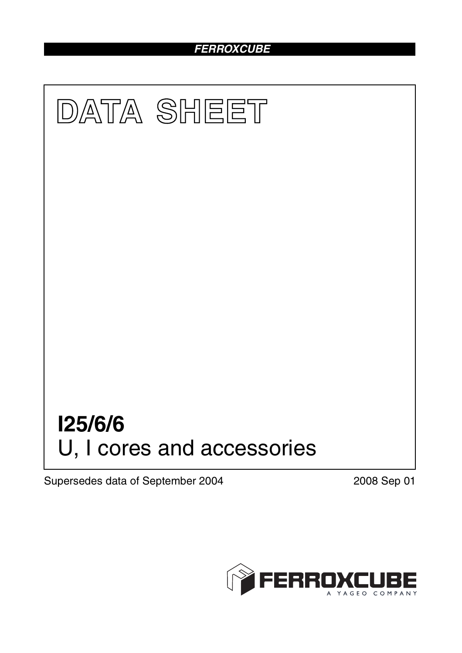### *FERROXCUBE*



Supersedes data of September 2004 2008 Sep 01

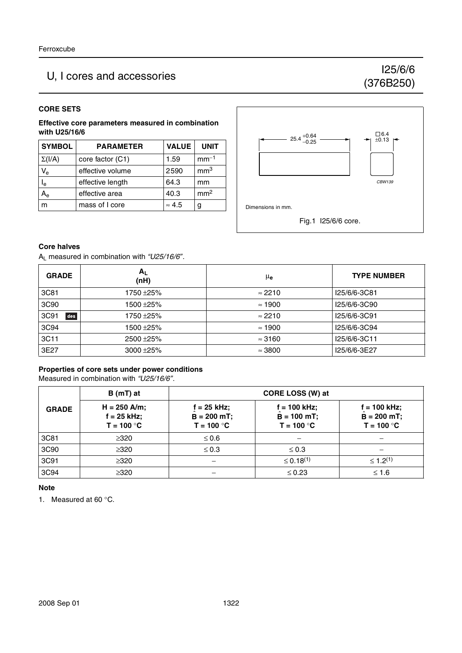## U, I cores and accessories I25/6/6

# (376B250)

#### **CORE SETS**

**Effective core parameters measured in combination with U25/16/6**

| <b>SYMBOL</b>             | <b>PARAMETER</b> | <b>VALUE</b>  | <b>UNIT</b>     |
|---------------------------|------------------|---------------|-----------------|
| $\Sigma(I/A)$             | core factor (C1) | 1.59          | $mm-1$          |
| $V_{\rm e}$               | effective volume | 2590          | mm <sup>3</sup> |
| $\mathsf{I}_{\mathsf{e}}$ | effective length | 64.3          | mm              |
| $A_{e}$                   | effective area   | 40.3          | mm <sup>2</sup> |
| m                         | mass of I core   | $\approx 4.5$ | g               |



#### **Core halves**

AL measured in combination with *"U25/16/6"*.

| <b>GRADE</b> | $A_L$<br>(nH) | μe             | <b>TYPE NUMBER</b> |
|--------------|---------------|----------------|--------------------|
| 3C81         | 1750 ±25%     | $\approx$ 2210 | I25/6/6-3C81       |
| 3C90         | 1500 ± 25%    | $\approx$ 1900 | I25/6/6-3C90       |
| 3C91<br>des  | 1750 ±25%     | $\approx$ 2210 | I25/6/6-3C91       |
| 3C94         | 1500 ± 25%    | $\approx$ 1900 | I25/6/6-3C94       |
| 3C11         | $2500 + 25%$  | $\approx$ 3160 | I25/6/6-3C11       |
| 3E27         | $3000 + 25%$  | $\approx$ 3800 | I25/6/6-3E27       |

#### **Properties of core sets under power conditions**

Measured in combination with *"U25/16/6"*.

|              | $B(mT)$ at                                      | <b>CORE LOSS (W) at</b>                         |                                               |                                                  |
|--------------|-------------------------------------------------|-------------------------------------------------|-----------------------------------------------|--------------------------------------------------|
| <b>GRADE</b> | $H = 250$ A/m;<br>$f = 25$ kHz;<br>$T = 100 °C$ | $f = 25$ kHz;<br>$B = 200 mT$ ;<br>$T = 100 °C$ | i = 100 kHz;<br>$B = 100$ mT;<br>$T = 100 °C$ | $f = 100$ kHz;<br>$B = 200 mT$ ;<br>$T = 100 °C$ |
| 3C81         | $\geq 320$                                      | $\leq 0.6$                                      |                                               |                                                  |
| 3C90         | $\geq 320$                                      | $\leq 0.3$                                      | $\leq 0.3$                                    |                                                  |
| 3C91         | $\geq 320$                                      |                                                 | $\leq 0.18^{(1)}$                             | $\leq$ 1.2 <sup>(1)</sup>                        |
| 3C94         | $\geq 320$                                      |                                                 | $\leq 0.23$                                   | $≤ 1.6$                                          |

#### **Note**

1. Measured at 60 °C.